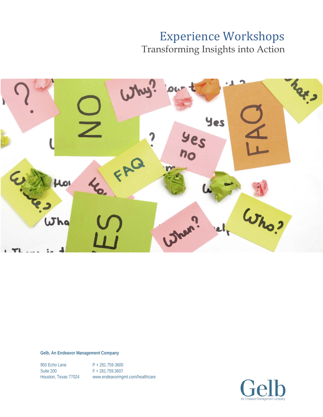Transforming Insights into Action



**Gelb, An Endeavor Management Company**

950 Echo Lane P + 281.759.3600 Suite 200 F + 281.759.3607

Houston, Texas 77024 www.endeavormgmt.com/healthcare

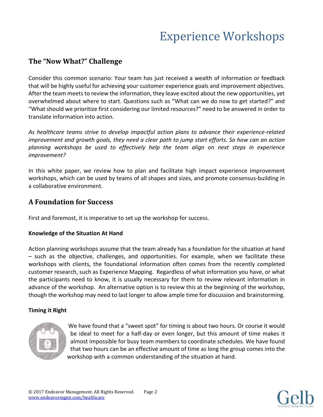### **The "Now What?" Challenge**

Consider this common scenario: Your team has just received a wealth of information or feedback that will be highly useful for achieving your customer experience goals and improvement objectives. After the team meets to review the information, they leave excited about the new opportunities, yet overwhelmed about where to start. Questions such as "What can we do now to get started?" and "What should we prioritize first considering our limited resources?" need to be answered in order to translate information into action.

*As healthcare teams strive to develop impactful action plans to advance their experience-related improvement and growth goals, they need a clear path to jump start efforts. So how can an action planning workshops be used to effectively help the team align on next steps in experience improvement?*

In this white paper, we review how to plan and facilitate high impact experience improvement workshops, which can be used by teams of all shapes and sizes, and promote consensus-building in a collaborative environment.

### **A Foundation for Success**

First and foremost, it is imperative to set up the workshop for success.

### **Knowledge of the Situation At Hand**

Action planning workshops assume that the team already has a foundation for the situation at hand – such as the objective, challenges, and opportunities. For example, when we facilitate these workshops with clients, the foundational information often comes from the recently completed customer research, such as Experience Mapping. Regardless of what information you have, or what the participants need to know, it is usually necessary for them to review relevant information in advance of the workshop. An alternative option is to review this at the beginning of the workshop, though the workshop may need to last longer to allow ample time for discussion and brainstorming.

### **Timing it Right**



We have found that a "sweet spot" for timing is about two hours. Or course it would be ideal to meet for a half-day or even longer, but this amount of time makes it almost impossible for busy team members to coordinate schedules. We have found that two hours can be an effective amount of time as long the group comes into the workshop with a common understanding of the situation at hand.

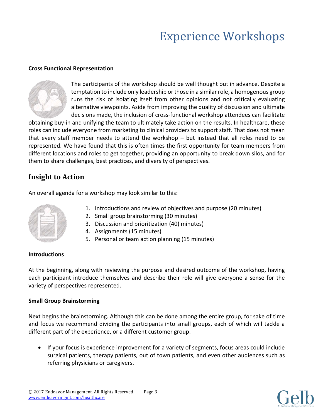#### **Cross Functional Representation**



The participants of the workshop should be well thought out in advance. Despite a temptation to include only leadership or those in a similarrole, a homogenous group runs the risk of isolating itself from other opinions and not critically evaluating alternative viewpoints. Aside from improving the quality of discussion and ultimate decisions made, the inclusion of cross-functional workshop attendees can facilitate

obtaining buy-in and unifying the team to ultimately take action on the results. In healthcare, these roles can include everyone from marketing to clinical providers to support staff. That does not mean that every staff member needs to attend the workshop – but instead that all roles need to be represented. We have found that this is often times the first opportunity for team members from different locations and roles to get together, providing an opportunity to break down silos, and for them to share challenges, best practices, and diversity of perspectives.

### **Insight to Action**

An overall agenda for a workshop may look similar to this:



- 1. Introductions and review of objectives and purpose (20 minutes)
- 2. Small group brainstorming (30 minutes)
- 3. Discussion and prioritization (40) minutes)
- 4. Assignments (15 minutes)
- 5. Personal or team action planning (15 minutes)

#### **Introductions**

At the beginning, along with reviewing the purpose and desired outcome of the workshop, having each participant introduce themselves and describe their role will give everyone a sense for the variety of perspectives represented.

### **Small Group Brainstorming**

Next begins the brainstorming. Although this can be done among the entire group, for sake of time and focus we recommend dividing the participants into small groups, each of which will tackle a different part of the experience, or a different customer group.

• If your focus is experience improvement for a variety of segments, focus areas could include surgical patients, therapy patients, out of town patients, and even other audiences such as referring physicians or caregivers.

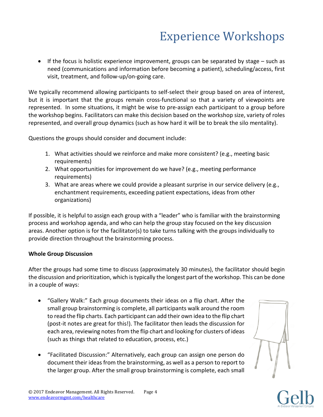• If the focus is holistic experience improvement, groups can be separated by stage – such as need (communications and information before becoming a patient), scheduling/access, first visit, treatment, and follow-up/on-going care.

We typically recommend allowing participants to self-select their group based on area of interest, but it is important that the groups remain cross-functional so that a variety of viewpoints are represented. In some situations, it might be wise to pre-assign each participant to a group before the workshop begins. Facilitators can make this decision based on the workshop size, variety of roles represented, and overall group dynamics (such as how hard it will be to break the silo mentality).

Questions the groups should consider and document include:

- 1. What activities should we reinforce and make more consistent? (e.g., meeting basic requirements)
- 2. What opportunities for improvement do we have? (e.g., meeting performance requirements)
- 3. What are areas where we could provide a pleasant surprise in our service delivery (e.g., enchantment requirements, exceeding patient expectations, ideas from other organizations)

If possible, it is helpful to assign each group with a "leader" who is familiar with the brainstorming process and workshop agenda, and who can help the group stay focused on the key discussion areas. Another option is for the facilitator(s) to take turns talking with the groups individually to provide direction throughout the brainstorming process.

### **Whole Group Discussion**

After the groups had some time to discuss (approximately 30 minutes), the facilitator should begin the discussion and prioritization, which is typically the longest part of the workshop. This can be done in a couple of ways:

- "Gallery Walk:" Each group documents their ideas on a flip chart. After the small group brainstorming is complete, all participants walk around the room to read the flip charts. Each participant can add their own idea to the flip chart (post-it notes are great for this!). The facilitator then leads the discussion for each area, reviewing notes from the flip chart and looking for clusters of ideas (such as things that related to education, process, etc.)
- "Facilitated Discussion:" Alternatively, each group can assign one person do document their ideas from the brainstorming, as well as a person to report to the larger group. After the small group brainstorming is complete, each small





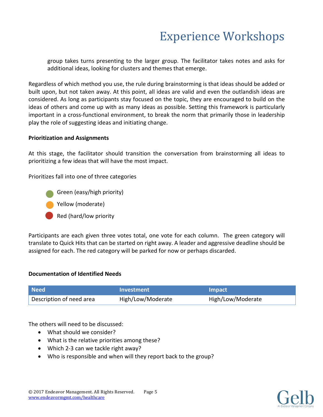group takes turns presenting to the larger group. The facilitator takes notes and asks for additional ideas, looking for clusters and themes that emerge.

Regardless of which method you use, the rule during brainstorming is that ideas should be added or built upon, but not taken away. At this point, all ideas are valid and even the outlandish ideas are considered. As long as participants stay focused on the topic, they are encouraged to build on the ideas of others and come up with as many ideas as possible. Setting this framework is particularly important in a cross-functional environment, to break the norm that primarily those in leadership play the role of suggesting ideas and initiating change.

#### **Prioritization and Assignments**

At this stage, the facilitator should transition the conversation from brainstorming all ideas to prioritizing a few ideas that will have the most impact.

Prioritizes fall into one of three categories

- Green (easy/high priority)
- Yellow (moderate)
- Red (hard/low priority

Participants are each given three votes total, one vote for each column. The green category will translate to Quick Hits that can be started on right away. A leader and aggressive deadline should be assigned for each. The red category will be parked for now or perhaps discarded.

#### **Documentation of Identified Needs**

| l Need l                 | <b>Investment</b> | <b>Impact</b>     |
|--------------------------|-------------------|-------------------|
| Description of need area | High/Low/Moderate | High/Low/Moderate |

The others will need to be discussed:

- What should we consider?
- What is the relative priorities among these?
- Which 2-3 can we tackle right away?
- Who is responsible and when will they report back to the group?

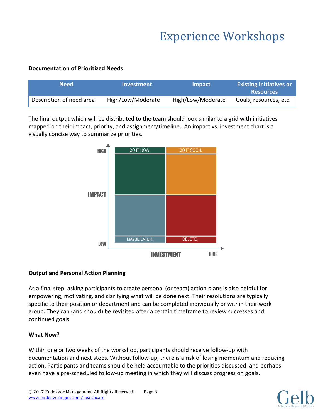### **Documentation of Prioritized Needs**

| <b>Need</b>              | Investment        | <b>Impact</b>     | <b>Existing Initiatives or</b><br><b>Resources</b> |
|--------------------------|-------------------|-------------------|----------------------------------------------------|
| Description of need area | High/Low/Moderate | High/Low/Moderate | Goals, resources, etc.                             |

The final output which will be distributed to the team should look similar to a grid with initiatives mapped on their impact, priority, and assignment/timeline. An impact vs. investment chart is a visually concise way to summarize priorities.



### **Output and Personal Action Planning**

As a final step, asking participants to create personal (or team) action plans is also helpful for empowering, motivating, and clarifying what will be done next. Their resolutions are typically specific to their position or department and can be completed individually or within their work group. They can (and should) be revisited after a certain timeframe to review successes and continued goals.

### **What Now?**

Within one or two weeks of the workshop, participants should receive follow-up with documentation and next steps. Without follow-up, there is a risk of losing momentum and reducing action. Participants and teams should be held accountable to the priorities discussed, and perhaps even have a pre-scheduled follow-up meeting in which they will discuss progress on goals.